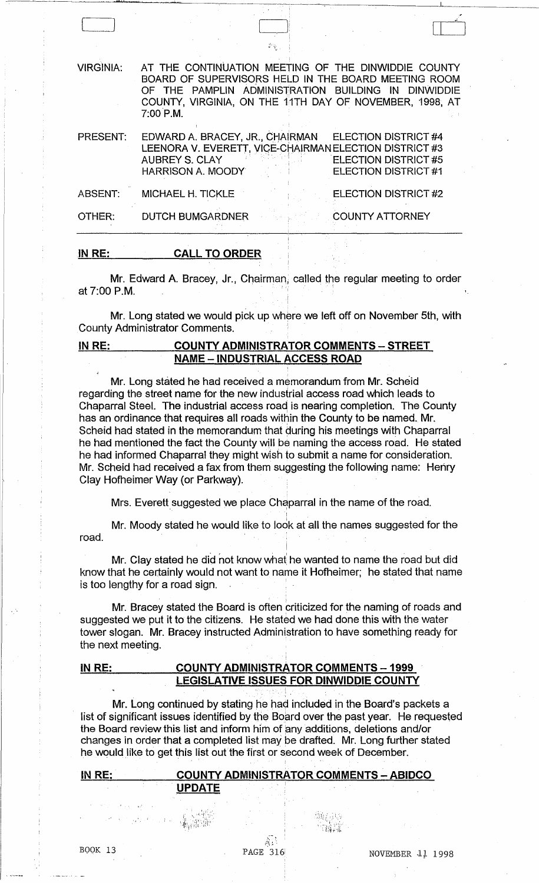| <b>VIRGINIA:</b> | AT THE CONTINUATION MEETING OF THE DINWIDDIE COUNTY<br>BOARD OF SUPERVISORS HELD IN THE BOARD MEETING ROOM<br>OF THE PAMPLIN ADMINISTRATION BUILDING IN DINWIDDIE<br>COUNTY, VIRGINIA, ON THE 11TH DAY OF NOVEMBER, 1998, AT<br>$7:00$ P.M. |
|------------------|---------------------------------------------------------------------------------------------------------------------------------------------------------------------------------------------------------------------------------------------|
| <b>PRESENT:</b>  | EDWARD A. BRACEY, JR., CHAIRMAN<br>ELECTION DISTRICT #4<br>LEENORA V. EVERETT, VICE-CHAIRMAN ELECTION DISTRICT #3<br><b>AUBREY S. CLAY</b><br><b>ELECTION DISTRICT #5</b><br><b>ELECTION DISTRICT #1</b><br><b>HARRISON A. MOODY</b>        |
| <b>ABSENT:</b>   | ELECTION DISTRICT #2<br>MICHAEL H. TICKLE                                                                                                                                                                                                   |
| OTHER:           | <b>DUTCH BUMGARDNER</b><br><b>COUNTY ATTORNEY</b>                                                                                                                                                                                           |
|                  |                                                                                                                                                                                                                                             |

[ I I

#### IN RE: CALL TO ORDER

..r.a..t'

Mr. Edward A. Bracey, Jr., Chairman, called the regular meeting to order **at 7:00 P.M.** 

Mr. Long stated we would pick up where we left off on November 5th, with County Administrator Comments. ;

## IN RE: COUNTY ADMINISTRATOR COMMENTS - STREET **NAME - INDUSTRIAL ACCESS ROAD**

Mr. Long stated he had received a memorandum from Mr. Scheid regarding the street name for the new industrial access road which leads to Chaparral Steel. The industrial access road is nearing completion. The County has an ordinance that requires all roads within the County to be named. Mr. Scheid had stated in the memorandum that during his meetings with Chaparral he had mentioned the fact the County will be naming the access road. He stated he had informed Chaparral they might wish to submit a name for consideration. Mr. Scheid had received a fax from them suggesting the following name: Henry Clay Hofheimer Way (or Parkway).

Mrs. Everett suggested we place Chaparral in the name of the road.

Mr. Moody stated he would like to look at all the names suggested for the road.

Mr. Clay stated he did not know what he wanted to name the road but did know that he certainly would not want to name it Hofheimer; he stated that name is too lengthy for a road sign.

Mr. Bracey stated the Board is often criticized for the naming of roads and suggested we put it to the citizens. He stated we had done this with the water tower slogan. Mr. Bracey instructed Administration to have something ready for the next meeting.

## IN RE: COUNTY ADMINISTRATOR COMMENTS - 1999 LEGISLATIVE ISSUES FOR DINWIDDIE COUNTY

Mr. Long continued by stating he had included in the Board's packets a list of significant issues identified by the Board over the past year. He requested the Board review this list and inform him of any additions, deletions and/or changes in order that a completed list may be drafted. Mr. Long further stated he would like to get this list out the first or second week of December.

j.

| IN RE: |        | <b>COUNTY ADMINISTRATOR COMMENTS - ABIDCO</b> |  |
|--------|--------|-----------------------------------------------|--|
|        | ΊΡDΔΤΕ |                                               |  |

 $\epsilon$  .  $\sim$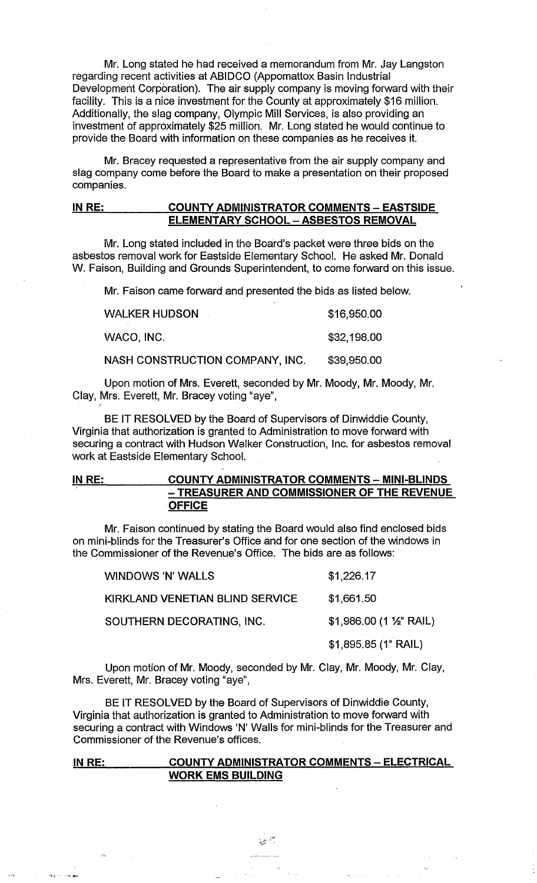Mr. Long stated he had received a memorandum from Mr. Jay Langston regarding recent activities at ABIDCO (Appomattox Basin Industrial Development Corporation). The air supply company is moving forward with their facility. This is a nice investment for the County at approximately \$16 million. Additionally, the slag company, Olympic Mill Services, is also providing an investment of approximately \$25 million. Mr. Long stated he would continue to provide the Board with information on these companies as he receives it.

Mr. Bracey requested a representative from the air supply company and slag company come before the Board to make a presentation on their proposed companies.

## IN RE: COUNTY ADMINISTRATOR COMMENTS - EASTSIDE **ELEMENTARY SCHOOL - ASBESTOS REMOVAL**

Mr. Long stated included in the Board's packet were three bids on the asbestos removal work for Eastside Elementary School. He asked Mr. Donald W. Faison, Building and Grounds Superintendent, to come forward on this issue.

Mr. Faison came forward and presented the bids as listed below.

| <b>WALKER HUDSON</b>            | \$16,950.00 |
|---------------------------------|-------------|
| WACO, INC.                      | \$32,198,00 |
| NASH CONSTRUCTION COMPANY, INC. | \$39,950.00 |

Upon motion of Mrs. Everett, seconded by Mr. Moody, Mr. Moody, Mr. Clay, Mrs. Everett, Mr. Bracey voting "aye",

BE IT RESOLVED by the Board of Supervisors of Dinwiddie County, Virginia that authorization is granted to Administration to move forward with securing a contract with Hudson Walker Construction, Inc. for asbestos removal work at Eastside Elementary School.

# IN RE: COUNTY ADMINISTRATOR COMMENTS - MINI-BLINDS - TREASURER AND COMMISSIONER OF THE REVENUE **OFFICE**

Mr. Faison continued by stating the Board would also find enclosed bids on mini-blinds for the Treasurer's Office and for one section of the windows in the Commissioner of the Revenue's Office. The bids are as follows:

WINDOWS APMALLS

|                                 | \$1,895.85 (1" RAIL)                 |
|---------------------------------|--------------------------------------|
| SOUTHERN DECORATING, INC.       | $$1,986.00$ (1 $\frac{1}{2}$ " RAIL) |
| KIRKLAND VENETIAN BLIND SERVICE | \$1,661.50                           |
| VVINUUVVO N VVALLO              | 31.220.11                            |

 $A$ <sub>22</sub> $A$ 7

Upon motion of Mr. Moody, seconded by Mr. Clay, Mr. Moody, Mr. Clay, Mrs. Everett, Mr. Bracey voting "aye",

BE IT RESOLVED by the Board of Supervisors of Dinwiddie County, Virginia that authorization is granted to Administration to move forward with securing a contract with Windows 'N' Walls for mini-blinds for the Treasurer and Commissioner of the Revenue's offices.

### IN RE: COUNTY ADMINISTRATOR COMMENTS - ELECTRICAL WORK EMS BUILDING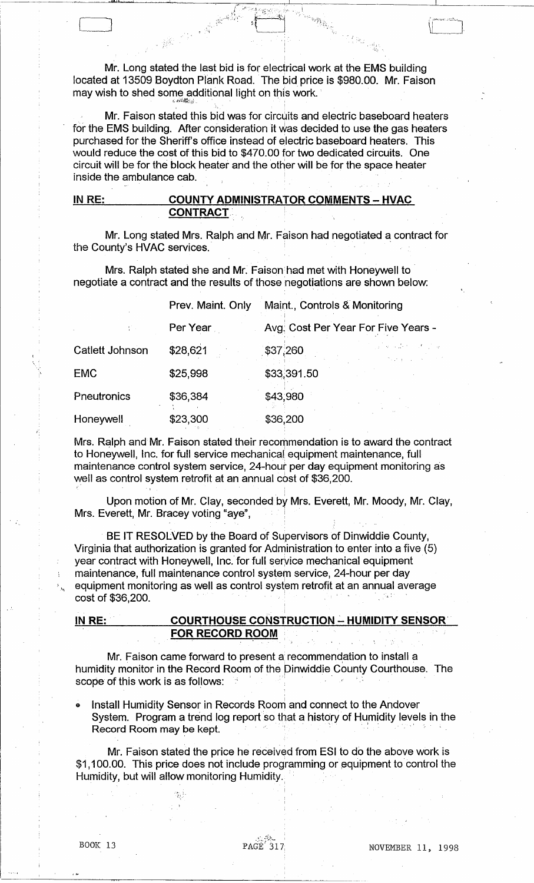Mr. Long stated the last bid is for electrical work at the EMS building located at 13509 Boydton Plank Road. The bid price is \$980.00. Mr. Faison may wish to shed some additional light on this work. '

 $\mathcal{L}$  , and  $\mathcal{L}$  . In the contribution of the contribution of the contribution of the contribution of the contribution of the contribution of the contribution of the contribution of the contribution of the contribu

, .

 $\frac{1}{\sqrt{2}}$  ,  $\frac{1}{\sqrt{2}}$  ,  $\frac{1}{\sqrt{2}}$  ,  $\frac{1}{\sqrt{2}}$  ,  $\frac{1}{\sqrt{2}}$  ,  $\frac{1}{\sqrt{2}}$  ,  $\frac{1}{\sqrt{2}}$  ,  $\frac{1}{\sqrt{2}}$ 

**.J.I.JI** 

Mr. Faison stated this bid was for circuits and electric baseboard heaters for the EMS building. After consideration it was decided to use the gas heaters purchased for the Sheriff's office instead of electric baseboard heaters. This would reduce the cost of this bid to \$470.00 for two dedicated circuits. One circuit will be for the block heater and the other will be for the space heater inside the ambulance cab.

### **IN** RE: **COUNTY ADMINISTRATOR COMMENTS - HVAC**  CONTRACT.

Mr. Long stated Mrs. Ralph and Mr. Faison had negotiated a contract for the County's HVAC services.

Mrs. Ralph stated she and Mr. Faison had met with Honeywell to negotiate a contract and the results of those negotiations are shown below:

|                 | Prev. Maint. Only | Maint., Controls & Monitoring                                     |  |
|-----------------|-------------------|-------------------------------------------------------------------|--|
|                 | Per Year          | Avg. Cost Per Year For Five Years -                               |  |
| Catlett Johnson | \$28,621          | and the condition of the<br>\$37,260<br><b>Contractor Service</b> |  |
| <b>EMC</b>      | \$25,998          | \$33,391.50                                                       |  |
| Pneutronics     | \$36,384          | \$43,980                                                          |  |
| Honeywell       | \$23,300          | \$36,200                                                          |  |

Mrs. Ralph and Mr. Faison stated their recommendation is to award the contract to Honeywell, Inc. for full service mechanical' equipment maintenance, full maintenance control system service, 24-hour per day equipment monitoring as well as control system retrofit at an annual cost of \$36,200.

Upon motion of Mr. Clay, seconded by Mrs. Everett, Mr. Moody, Mr. Clay, Mrs. Everett, Mr. Bracey voting "aye",

BE IT RESOLVED by the Board of Supervisors of Dinwiddie County, Virginia that authorization is granted for Administration to enter into a five (5) year contract with Honeywell, Inc. for full seryice mechanical equipment maintenance, full maintenance control system service, 24-hour per day equipment monitoring as well as control system retrofit at an annual average cost of \$36,200.

<u>IN RE: COURTHOUSE CONSTRUCTION – HUMIDITY SENSOR</u> **FOR RECORD ROOM** 

Mr. Faison came forward to present a recommendation to install a humidity monitor in the Record Room of the Dinwiddie County Courthouse. The scope of this work is as follows:

Install Humidity Sensor in Records Room and connect to the Andover mstall Humidity Sensor in Records Room and connect to the Andover<br>System. Program a trend log report so that a history of Humidity levels in the<br>Record Room may be kept.

Mr. Faison stated the price he received from ESI to do the above work is \$1,100.00. This price does not include programming or equipment to control the Humidity, but will allow monitoring Humidity.

"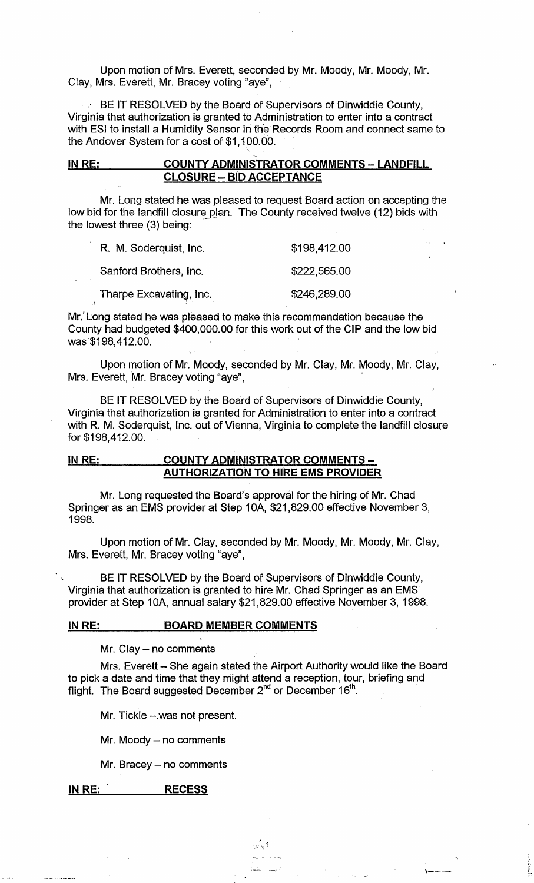Upon motion of Mrs. Everett, seconded by Mr. Moody, Mr. Moody, Mr. Clay, Mrs. Everett, Mr. Bracey voting "aye",

BE IT RESOLVED by the Board of Supervisors of Dinwiddie County, Virginia that authorization is granted to Administration to enter into a contract with ESI to install a Humidity Sensor in the Records Room and connect same to the Andover System for a cost of \$1,100.00.

## IN RE: COUNTY ADMINISTRATOR COMMENTS - LANDFILL CLOSURE - BID ACCEPTANCE

Mr. Long stated he was pleased to request Board action on accepting the low bid for the landfill closure plan. The County received twelve (12) bids with the lowest three (3) being:

| R. M. Soderquist, Inc.  | \$198,412.00 |
|-------------------------|--------------|
| Sanford Brothers, Inc.  | \$222,565.00 |
| Tharpe Excavating, Inc. | \$246,289.00 |

Mr.' Long stated he was pleased to make this recommendation because the County had budgeted \$400,000.00 for this work out of the CIP and the low bid was·\$198,412.00.

Upon motion of Mr. Moody, seconded by Mr. Clay, Mr. Moody, Mr. Clay, Mrs. Everett, Mr. Bracey voting "aye",

BE IT RESOLVED by the Board of Supervisors of Dinwiddie County, Virginia that authorization is granted for Administration to enter into a contract with R. M. Soderquist, Inc. out of Vienna, Virginia to complete the landfill closure for \$198,412.00.

## IN RE: COUNTY ADMINISTRATOR COMMENTS -AUTHORIZATION TO HIRE EMS PROVIDER

Mr. Long requested the Board's approval for the hiring of Mr. Chad Springer as an EMS provider at Step 10A, \$21,829.00 effective November 3, 1998.

Upon motion of Mr. Clay, seconded by Mr. Moody, Mr. Moody, Mr. Clay, Mrs. Everett, Mr. Bracey voting "aye",

BE IT RESOLVED by the Board of Supervisors of Dinwiddie County, Virginia that authorization is granted to hire Mr. Chad Springer as an EMS provider at Step 10A, annual salary \$21,829.00 effective November 3, 1998.

#### IN RE: BOARD MEMBER COMMENTS

Mr. Clay  $-$  no comments

Mrs. Everett - She again stated the Airport Authority would like the Board to pick a date and time that they might attend a reception, tour, briefing and flight. The Board suggested December 2<sup>nd</sup> or December 16<sup>th</sup>.

> $\sim$   $\sim$   $\sim$ *r:.·----* .~~ -~1

> > '>----

Mr. Tickle - was not present.

Mr. Moody - no comments

 $Mr.$  Bracey  $-$  no comments

#### IN RE: RECESS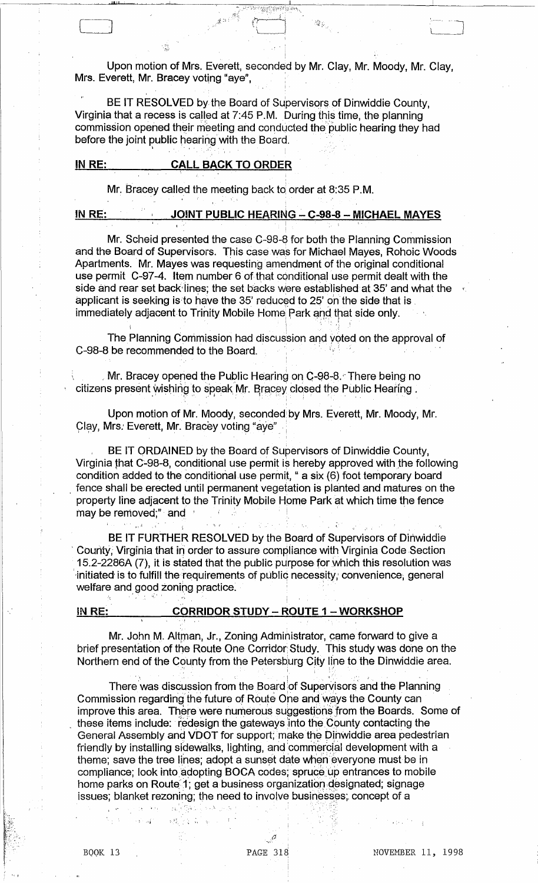Upon motion of Mrs. Everett, seconded by Mr. Clay, Mr. Moody, Mr. Clay, Mrs. Everett, Mr. Bracey voting "aye",

BE IT RESOLVED by the Board of Supervisors of Dinwiddie County, Virginia that a recess is called at 7:45 P.M. During this time, the planning commission opened their meeting and conducted the public hearing they had before the joint public hearing with the Board.

#### IN RE: **CALL BACK TO ORDER**

Mr. Bracey called the meeting back to order at 8:35 P.M.

IN RE:

# <u> JOINT PUBLIC HEARING – C-98-8 – MICHAEL MAYES</u>

Mr. Scheid presented the case C-98-8 for both the Planning Commission and the Board of Supervisors. This case was for Michael Mayes, Rohoic Woods Apartments. Mr. Mayes was requesting amendment of the original conditional use permit C-97-4. Item number 6 of that conditional use permit dealt with the side and rear set back lines; the set backs were established at 35' and what the applicant is seeking is to have the 35' reduced to 25' on the side that is immediately adjacent to Trinity Mobile Home Park and that side only.

The Planning Commission had discussion and voted on the approval of C-98-8 be recommended to the Board.

Mr. Bracey opened the Public Hearing on C-98-8. There being no citizens present wishing to speak Mr. Bracey closed the Public Hearing.

Upon motion of Mr. Moody, seconded by Mrs. Everett, Mr. Moody, Mr. Clay, Mrs. Everett, Mr. Bracey voting "aye"

BE IT ORDAINED by the Board of Supervisors of Dinwiddie County, Virginia that C-98-8, conditional use permit is hereby approved with the following condition added to the conditional use permit, " a six (6) foot temporary board fence shall be erected until permanent vegetation is planted and matures on the property line adjacent to the Trinity Mobile Home Park at which time the fence may be removed;" and

BE IT FURTHER RESOLVED by the Board of Supervisors of Dinwiddie County. Virginia that in order to assure compliance with Virginia Code Section 15.2-2286A (7), it is stated that the public purpose for which this resolution was initiated is to fulfill the requirements of public necessity, convenience, general welfare and good zoning practice.

#### IN RE:

### **CORRIDOR STUDY - ROUTE 1 - WORKSHOP**

Mr. John M. Altman, Jr., Zoning Administrator, came forward to give a brief presentation of the Route One Corridor Study. This study was done on the Northern end of the County from the Petersburg City line to the Dinwiddie area.

There was discussion from the Board of Supervisors and the Planning Commission regarding the future of Route One and ways the County can improve this area. There were numerous suggestions from the Boards. Some of these items include: redesign the gateways into the County contacting the General Assembly and VDOT for support, make the Dinwiddie area pedestrian friendly by installing sidewalks, lighting, and commercial development with a theme; save the tree lines; adopt a sunset date when everyone must be in compliance; look into adopting BOCA codes; spruce up entrances to mobile home parks on Route 1; get a business organization designated; signage issues; blanket rezoning; the need to involve businesses; concept of a

ina siya

 $\tilde{g} = \tilde{f}(\tilde{f})$  .